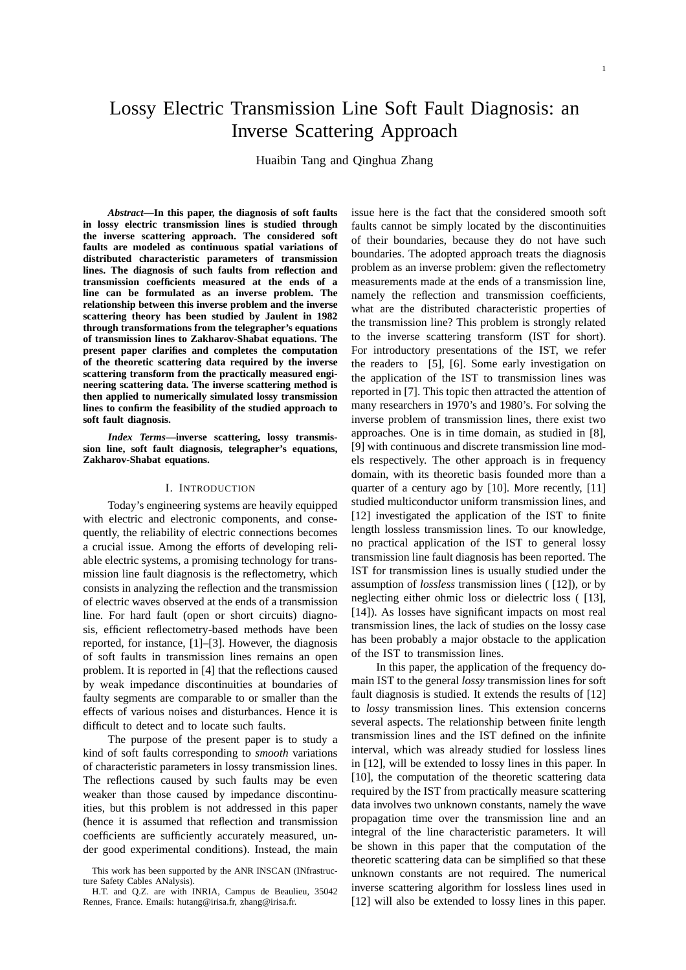# Lossy Electric Transmission Line Soft Fault Diagnosis: an Inverse Scattering Approach

Huaibin Tang and Qinghua Zhang

*Abstract***—In this paper, the diagnosis of soft faults in lossy electric transmission lines is studied through the inverse scattering approach. The considered soft faults are modeled as continuous spatial variations of distributed characteristic parameters of transmission lines. The diagnosis of such faults from reflection and transmission coefficients measured at the ends of a line can be formulated as an inverse problem. The relationship between this inverse problem and the inverse scattering theory has been studied by Jaulent in 1982 through transformations from the telegrapher's equations of transmission lines to Zakharov-Shabat equations. The present paper clarifies and completes the computation of the theoretic scattering data required by the inverse scattering transform from the practically measured engineering scattering data. The inverse scattering method is then applied to numerically simulated lossy transmission lines to confirm the feasibility of the studied approach to soft fault diagnosis.**

*Index Terms***—inverse scattering, lossy transmission line, soft fault diagnosis, telegrapher's equations, Zakharov-Shabat equations.**

## I. INTRODUCTION

Today's engineering systems are heavily equipped with electric and electronic components, and consequently, the reliability of electric connections becomes a crucial issue. Among the efforts of developing reliable electric systems, a promising technology for transmission line fault diagnosis is the reflectometry, which consists in analyzing the reflection and the transmission of electric waves observed at the ends of a transmission line. For hard fault (open or short circuits) diagnosis, efficient reflectometry-based methods have been reported, for instance, [1]–[3]. However, the diagnosis of soft faults in transmission lines remains an open problem. It is reported in [4] that the reflections caused by weak impedance discontinuities at boundaries of faulty segments are comparable to or smaller than the effects of various noises and disturbances. Hence it is difficult to detect and to locate such faults.

The purpose of the present paper is to study a kind of soft faults corresponding to *smooth* variations of characteristic parameters in lossy transmission lines. The reflections caused by such faults may be even weaker than those caused by impedance discontinuities, but this problem is not addressed in this paper (hence it is assumed that reflection and transmission coefficients are sufficiently accurately measured, under good experimental conditions). Instead, the main

issue here is the fact that the considered smooth soft faults cannot be simply located by the discontinuities of their boundaries, because they do not have such boundaries. The adopted approach treats the diagnosis problem as an inverse problem: given the reflectometry measurements made at the ends of a transmission line, namely the reflection and transmission coefficients, what are the distributed characteristic properties of the transmission line? This problem is strongly related to the inverse scattering transform (IST for short). For introductory presentations of the IST, we refer the readers to [5], [6]. Some early investigation on the application of the IST to transmission lines was reported in [7]. This topic then attracted the attention of many researchers in 1970's and 1980's. For solving the inverse problem of transmission lines, there exist two approaches. One is in time domain, as studied in [8], [9] with continuous and discrete transmission line models respectively. The other approach is in frequency domain, with its theoretic basis founded more than a quarter of a century ago by [10]. More recently, [11] studied multiconductor uniform transmission lines, and [12] investigated the application of the IST to finite length lossless transmission lines. To our knowledge, no practical application of the IST to general lossy transmission line fault diagnosis has been reported. The IST for transmission lines is usually studied under the assumption of *lossless* transmission lines ( [12]), or by neglecting either ohmic loss or dielectric loss ( [13], [14]). As losses have significant impacts on most real transmission lines, the lack of studies on the lossy case has been probably a major obstacle to the application of the IST to transmission lines.

In this paper, the application of the frequency domain IST to the general *lossy* transmission lines for soft fault diagnosis is studied. It extends the results of [12] to *lossy* transmission lines. This extension concerns several aspects. The relationship between finite length transmission lines and the IST defined on the infinite interval, which was already studied for lossless lines in [12], will be extended to lossy lines in this paper. In [10], the computation of the theoretic scattering data required by the IST from practically measure scattering data involves two unknown constants, namely the wave propagation time over the transmission line and an integral of the line characteristic parameters. It will be shown in this paper that the computation of the theoretic scattering data can be simplified so that these unknown constants are not required. The numerical inverse scattering algorithm for lossless lines used in [12] will also be extended to lossy lines in this paper.

This work has been supported by the ANR INSCAN (INfrastructure Safety Cables ANalysis).

H.T. and Q.Z. are with INRIA, Campus de Beaulieu, 35042 Rennes, France. Emails: hutang@irisa.fr, zhang@irisa.fr.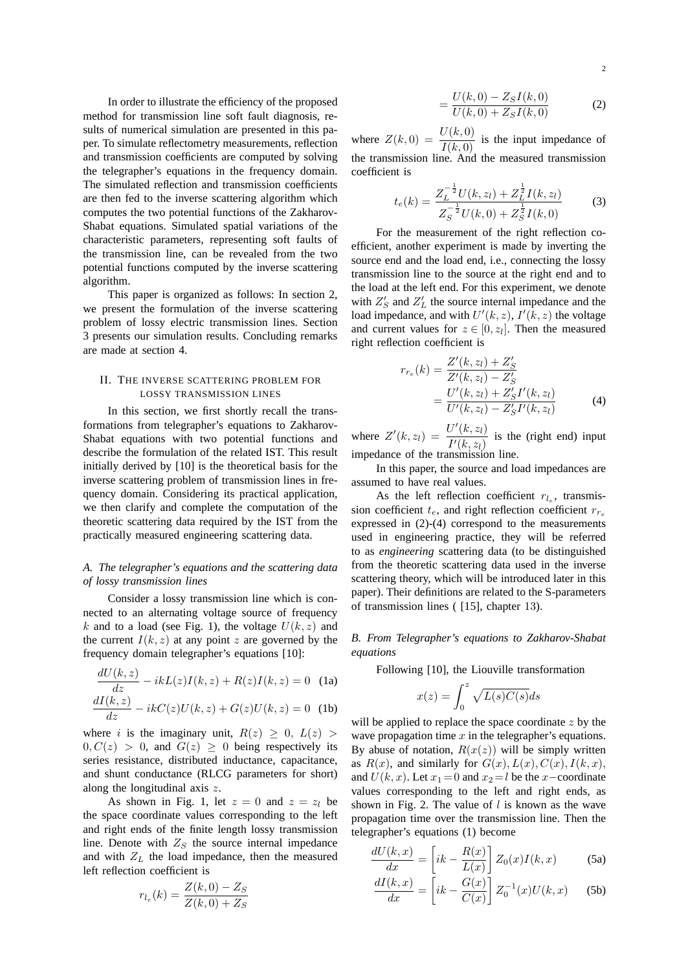In order to illustrate the efficiency of the proposed method for transmission line soft fault diagnosis, results of numerical simulation are presented in this paper. To simulate reflectometry measurements, reflection and transmission coefficients are computed by solving the telegrapher's equations in the frequency domain. The simulated reflection and transmission coefficients are then fed to the inverse scattering algorithm which computes the two potential functions of the Zakharov-Shabat equations. Simulated spatial variations of the characteristic parameters, representing soft faults of the transmission line, can be revealed from the two potential functions computed by the inverse scattering algorithm.

This paper is organized as follows: In section 2, we present the formulation of the inverse scattering problem of lossy electric transmission lines. Section 3 presents our simulation results. Concluding remarks are made at section 4.

# II. THE INVERSE SCATTERING PROBLEM FOR LOSSY TRANSMISSION LINES

In this section, we first shortly recall the transformations from telegrapher's equations to Zakharov-Shabat equations with two potential functions and describe the formulation of the related IST. This result initially derived by [10] is the theoretical basis for the inverse scattering problem of transmission lines in frequency domain. Considering its practical application, we then clarify and complete the computation of the theoretic scattering data required by the IST from the practically measured engineering scattering data.

# *A. The telegrapher's equations and the scattering data of lossy transmission lines*

Consider a lossy transmission line which is connected to an alternating voltage source of frequency k and to a load (see Fig. 1), the voltage  $U(k, z)$  and the current  $I(k, z)$  at any point z are governed by the frequency domain telegrapher's equations [10]:

$$
\frac{dU(k,z)}{dz} - ikL(z)I(k,z) + R(z)I(k,z) = 0
$$
 (1a)  

$$
\frac{dI(k,z)}{dz} - ikC(z)I(l,z) + G(z)I(l,z) = 0
$$
 (1b)

$$
\frac{dx(x,z)}{dz} - ikC(z)U(k,z) + G(z)U(k,z) = 0
$$
 (1b)

where i is the imaginary unit,  $R(z) \geq 0$ ,  $L(z)$  $0, C(z) > 0$ , and  $G(z) \geq 0$  being respectively its series resistance, distributed inductance, capacitance, and shunt conductance (RLCG parameters for short) along the longitudinal axis z.

As shown in Fig. 1, let  $z = 0$  and  $z = z<sub>l</sub>$  be the space coordinate values corresponding to the left and right ends of the finite length lossy transmission line. Denote with  $Z<sub>S</sub>$  the source internal impedance and with  $Z_L$  the load impedance, then the measured left reflection coefficient is

$$
r_{l_e}(k) = \frac{Z(k,0) - Z_S}{Z(k,0) + Z_S}
$$

$$
=\frac{U(k,0) - Z_S I(k,0)}{U(k,0) + Z_S I(k,0)}\tag{2}
$$

where  $Z(k, 0) = \frac{U(k, 0)}{I(k, 0)}$  is the input impedance of the transmission line. And the measured transmission coefficient is

$$
t_e(k) = \frac{Z_L^{-\frac{1}{2}}U(k, z_l) + Z_L^{\frac{1}{2}}I(k, z_l)}{Z_S^{-\frac{1}{2}}U(k, 0) + Z_S^{\frac{1}{2}}I(k, 0)}
$$
(3)

For the measurement of the right reflection coefficient, another experiment is made by inverting the source end and the load end, i.e., connecting the lossy transmission line to the source at the right end and to the load at the left end. For this experiment, we denote with  $Z'_S$  and  $Z'_L$  the source internal impedance and the load impedance, and with  $U'(k, z)$ ,  $I'(k, z)$  the voltage and current values for  $z \in [0, z_l]$ . Then the measured right reflection coefficient is

$$
r_{r_e}(k) = \frac{Z'(k, z_l) + Z'_S}{Z'(k, z_l) - Z'_S}
$$
  
= 
$$
\frac{U'(k, z_l) + Z'_S I'(k, z_l)}{U'(k, z_l) - Z'_S I'(k, z_l)}
$$
(4)

where  $Z'(k, z_l) = \frac{U'(k, z_l)}{U(k, z_l)}$  $\frac{U^{(k)}(k, z_l)}{I^{(k)}(z_l)}$  is the (right end) input impedance of the transmission line.

In this paper, the source and load impedances are assumed to have real values.

As the left reflection coefficient  $r_{l_e}$ , transmission coefficient  $t_e$ , and right reflection coefficient  $r_{r_e}$ expressed in (2)-(4) correspond to the measurements used in engineering practice, they will be referred to as *engineering* scattering data (to be distinguished from the theoretic scattering data used in the inverse scattering theory, which will be introduced later in this paper). Their definitions are related to the S-parameters of transmission lines ( [15], chapter 13).

## *B. From Telegrapher's equations to Zakharov-Shabat equations*

Following [10], the Liouville transformation

$$
x(z) = \int_0^z \sqrt{L(s)C(s)}ds
$$

will be applied to replace the space coordinate  $z$  by the wave propagation time  $x$  in the telegrapher's equations. By abuse of notation,  $R(x(z))$  will be simply written as  $R(x)$ , and similarly for  $G(x)$ ,  $L(x)$ ,  $C(x)$ ,  $I(k, x)$ , and  $U(k, x)$ . Let  $x_1 = 0$  and  $x_2 = l$  be the x-coordinate values corresponding to the left and right ends, as shown in Fig. 2. The value of  $l$  is known as the wave propagation time over the transmission line. Then the telegrapher's equations (1) become

$$
\frac{dU(k,x)}{dx} = \left[ik - \frac{R(x)}{L(x)}\right]Z_0(x)I(k,x)
$$
 (5a)

$$
\frac{dI(k,x)}{dx} = \left[ik - \frac{G(x)}{C(x)}\right]Z_0^{-1}(x)U(k,x) \quad (5b)
$$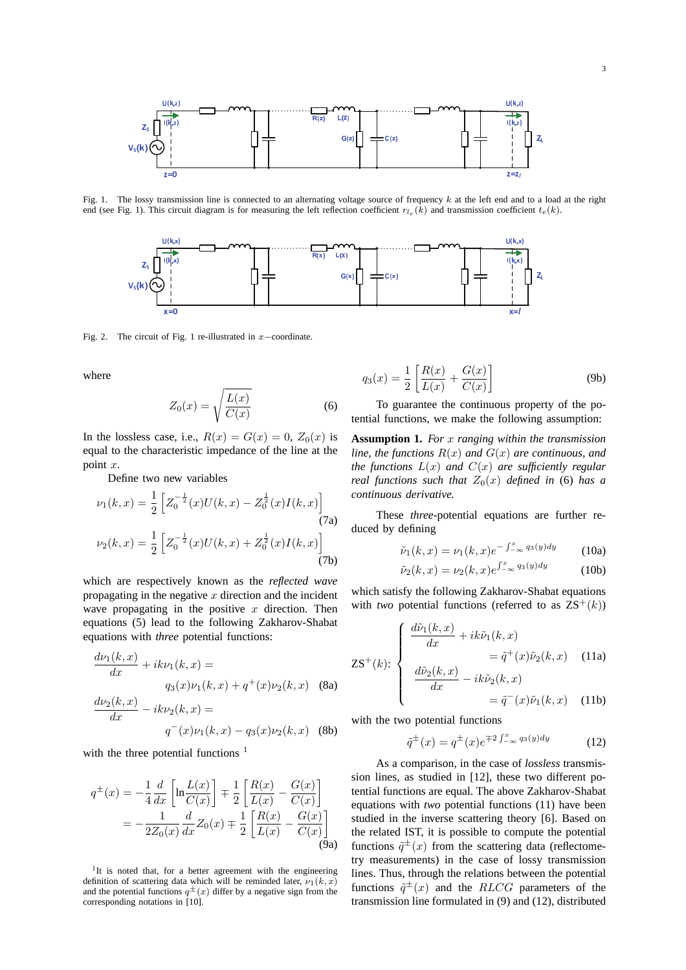

Fig. 1. The lossy transmission line is connected to an alternating voltage source of frequency  $k$  at the left end and to a load at the right end (see Fig. 1). This circuit diagram is for measuring the left reflection coefficient  $r_{l_e}(k)$  and transmission coefficient  $t_e(k)$ .



Fig. 2. The circuit of Fig. 1 re-illustrated in x−coordinate.

where

$$
Z_0(x) = \sqrt{\frac{L(x)}{C(x)}}\tag{6}
$$

In the lossless case, i.e.,  $R(x) = G(x) = 0$ ,  $Z_0(x)$  is equal to the characteristic impedance of the line at the point x.

Define two new variables

$$
\nu_1(k, x) = \frac{1}{2} \left[ Z_0^{-\frac{1}{2}}(x) U(k, x) - Z_0^{\frac{1}{2}}(x) I(k, x) \right]
$$
  
(7a)  

$$
\nu_2(k, x) = \frac{1}{2} \left[ Z_0^{-\frac{1}{2}}(x) U(k, x) + Z_0^{\frac{1}{2}}(x) I(k, x) \right]
$$
  
(7b)

which are respectively known as the *reflected wave* propagating in the negative  $x$  direction and the incident wave propagating in the positive  $x$  direction. Then equations (5) lead to the following Zakharov-Shabat equations with *three* potential functions:

$$
\frac{d\nu_1(k,x)}{dx} + ik\nu_1(k,x) =
$$
  
\n
$$
q_3(x)\nu_1(k,x) + q^+(x)\nu_2(k,x)
$$
 (8a)  
\n
$$
\frac{d\nu_2(k,x)}{dx} - ik\nu_2(k,x) =
$$
  
\n
$$
q^-(x)\nu_1(k,x) - q_3(x)\nu_2(k,x)
$$
 (8b)

with the three potential functions  $<sup>1</sup>$ </sup>

$$
q^{\pm}(x) = -\frac{1}{4} \frac{d}{dx} \left[ \ln \frac{L(x)}{C(x)} \right] \mp \frac{1}{2} \left[ \frac{R(x)}{L(x)} - \frac{G(x)}{C(x)} \right]
$$
  
= 
$$
-\frac{1}{2Z_0(x)} \frac{d}{dx} Z_0(x) \mp \frac{1}{2} \left[ \frac{R(x)}{L(x)} - \frac{G(x)}{C(x)} \right]
$$
(9a)

<sup>1</sup>It is noted that, for a better agreement with the engineering definition of scattering data which will be reminded later,  $\nu_1(k, x)$ and the potential functions  $q^{\pm}(x)$  differ by a negative sign from the corresponding notations in [10].

$$
q_3(x) = \frac{1}{2} \left[ \frac{R(x)}{L(x)} + \frac{G(x)}{C(x)} \right]
$$
 (9b)

To guarantee the continuous property of the potential functions, we make the following assumption:

**Assumption 1.** *For* x *ranging within the transmission line, the functions*  $R(x)$  *and*  $G(x)$  *are continuous, and the functions* L(x) *and* C(x) *are sufficiently regular real functions such that*  $Z_0(x)$  *defined in* (6) *has a continuous derivative.*

These *three*-potential equations are further reduced by defining

$$
\tilde{\nu}_1(k, x) = \nu_1(k, x)e^{-\int_{-\infty}^x q_3(y)dy} \qquad (10a)
$$

$$
\tilde{\nu}_2(k,x) = \nu_2(k,x)e^{\int_{-\infty}^x q_3(y)dy} \tag{10b}
$$

which satisfy the following Zakharov-Shabat equations with *two* potential functions (referred to as  $ZS^{+}(k)$ )

$$
\mathbf{ZS}^{+}(k): \begin{cases} \frac{d\tilde{\nu}_{1}(k,x)}{dx} + ik\tilde{\nu}_{1}(k,x) \\ = \tilde{q}^{+}(x)\tilde{\nu}_{2}(k,x) \\ \frac{d\tilde{\nu}_{2}(k,x)}{dx} - ik\tilde{\nu}_{2}(k,x) \\ = \tilde{q}^{-}(x)\tilde{\nu}_{1}(k,x) \end{cases}
$$
(11a)

with the two potential functions

$$
\tilde{q}^{\pm}(x) = q^{\pm}(x)e^{\mp 2\int_{-\infty}^{x} q_3(y)dy} \tag{12}
$$

As a comparison, in the case of *lossless* transmission lines, as studied in [12], these two different potential functions are equal. The above Zakharov-Shabat equations with *two* potential functions (11) have been studied in the inverse scattering theory [6]. Based on the related IST, it is possible to compute the potential functions  $\tilde{q}^{\pm}(x)$  from the scattering data (reflectometry measurements) in the case of lossy transmission lines. Thus, through the relations between the potential functions  $\tilde{q}^{\pm}(x)$  and the  $RLCG$  parameters of the transmission line formulated in (9) and (12), distributed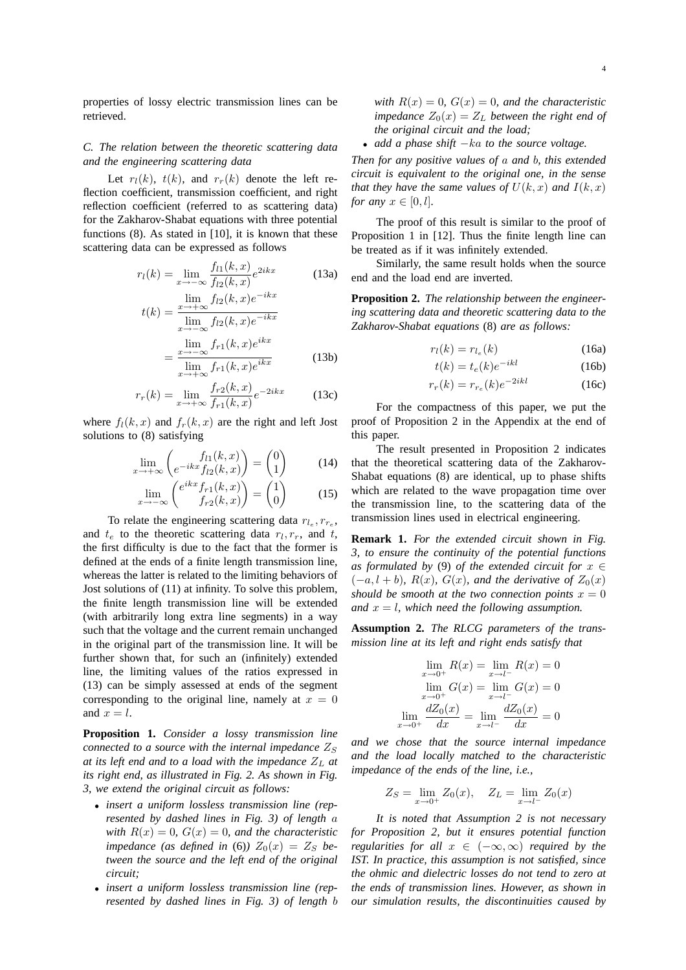## *C. The relation between the theoretic scattering data and the engineering scattering data*

Let  $r_l(k)$ ,  $t(k)$ , and  $r_r(k)$  denote the left reflection coefficient, transmission coefficient, and right reflection coefficient (referred to as scattering data) for the Zakharov-Shabat equations with three potential functions (8). As stated in [10], it is known that these scattering data can be expressed as follows

$$
r_l(k) = \lim_{x \to -\infty} \frac{f_{l1}(k, x)}{f_{l2}(k, x)} e^{2ikx}
$$
 (13a)

$$
t(k) = \frac{\lim_{x \to +\infty} f_{l2}(k, x)e^{-ikx}}{\lim_{x \to -\infty} f_{l2}(k, x)e^{-ikx}}
$$

$$
= \frac{\lim_{x \to -\infty} f_{r1}(k, x)e^{ikx}}{\lim_{x \to +\infty} f_{r1}(k, x)e^{ikx}}
$$
(13b)

$$
\lim_{x \to +\infty} f_{r1}(k, x)e^{ikx}
$$
\n
$$
r_r(k) = \lim_{x \to +\infty} \frac{f_{r2}(k, x)}{f_{r1}(k, x)} e^{-2ikx}
$$
\n(13c)

where  $f_l(k, x)$  and  $f_r(k, x)$  are the right and left Jost solutions to (8) satisfying

$$
\lim_{x \to +\infty} \begin{pmatrix} f_{l1}(k,x) \\ e^{-ikx} f_{l2}(k,x) \end{pmatrix} = \begin{pmatrix} 0 \\ 1 \end{pmatrix} \tag{14}
$$

$$
\lim_{x \to -\infty} \begin{pmatrix} e^{ikx} f_{r1}(k, x) \\ f_{r2}(k, x) \end{pmatrix} = \begin{pmatrix} 1 \\ 0 \end{pmatrix} \tag{15}
$$

To relate the engineering scattering data  $r_{l_e}, r_{r_e}$ , and  $t_e$  to the theoretic scattering data  $r_l, r_r$ , and  $t$ , the first difficulty is due to the fact that the former is defined at the ends of a finite length transmission line, whereas the latter is related to the limiting behaviors of Jost solutions of (11) at infinity. To solve this problem, the finite length transmission line will be extended (with arbitrarily long extra line segments) in a way such that the voltage and the current remain unchanged in the original part of the transmission line. It will be further shown that, for such an (infinitely) extended line, the limiting values of the ratios expressed in (13) can be simply assessed at ends of the segment corresponding to the original line, namely at  $x = 0$ and  $x = l$ .

**Proposition 1.** *Consider a lossy transmission line connected to a source with the internal impedance*  $Z_S$ *at its left end and to a load with the impedance* Z<sup>L</sup> *at its right end, as illustrated in Fig. 2. As shown in Fig. 3, we extend the original circuit as follows:*

- *insert a uniform lossless transmission line (represented by dashed lines in Fig. 3) of length* a *with*  $R(x) = 0$ *,*  $G(x) = 0$ *, and the characteristic impedance* (as defined in (6))  $Z_0(x) = Z_s$  be*tween the source and the left end of the original circuit;*
- *insert a uniform lossless transmission line (represented by dashed lines in Fig. 3) of length* b

*with*  $R(x) = 0$ *,*  $G(x) = 0$ *, and the characteristic impedance*  $Z_0(x) = Z_L$  *between the right end of the original circuit and the load;*

• *add a phase shift* −ka *to the source voltage.*

*Then for any positive values of* a *and* b*, this extended circuit is equivalent to the original one, in the sense that they have the same values of*  $U(k, x)$  *and*  $I(k, x)$ *for any*  $x \in [0, l]$ *.* 

The proof of this result is similar to the proof of Proposition 1 in [12]. Thus the finite length line can be treated as if it was infinitely extended.

Similarly, the same result holds when the source end and the load end are inverted.

**Proposition 2.** *The relationship between the engineering scattering data and theoretic scattering data to the Zakharov-Shabat equations* (8) *are as follows:*

$$
r_l(k) = r_{l_e}(k) \tag{16a}
$$

$$
t(k) = t_e(k)e^{-ikl}
$$
 (16b)

$$
r_r(k) = r_{r_e}(k)e^{-2ikl}
$$
 (16c)

For the compactness of this paper, we put the proof of Proposition 2 in the Appendix at the end of this paper.

The result presented in Proposition 2 indicates that the theoretical scattering data of the Zakharov-Shabat equations (8) are identical, up to phase shifts which are related to the wave propagation time over the transmission line, to the scattering data of the transmission lines used in electrical engineering.

**Remark 1.** *For the extended circuit shown in Fig. 3, to ensure the continuity of the potential functions as formulated by* (9) *of the extended circuit for*  $x \in$  $(-a, l + b)$ *,*  $R(x)$ *,*  $G(x)$ *, and the derivative of*  $Z_0(x)$ *should be smooth at the two connection points*  $x = 0$ *and*  $x = l$ *, which need the following assumption.* 

**Assumption 2.** *The RLCG parameters of the transmission line at its left and right ends satisfy that*

$$
\lim_{x \to 0^{+}} R(x) = \lim_{x \to l^{-}} R(x) = 0
$$

$$
\lim_{x \to 0^{+}} G(x) = \lim_{x \to l^{-}} G(x) = 0
$$

$$
\lim_{x \to 0^{+}} \frac{dZ_{0}(x)}{dx} = \lim_{x \to l^{-}} \frac{dZ_{0}(x)}{dx} = 0
$$

*and we chose that the source internal impedance and the load locally matched to the characteristic impedance of the ends of the line, i.e.,*

 $\overline{x}$ 

$$
Z_S = \lim_{x \to 0^+} Z_0(x), \quad Z_L = \lim_{x \to l^-} Z_0(x)
$$

*It is noted that Assumption 2 is not necessary for Proposition 2, but it ensures potential function regularities for all*  $x \in (-\infty, \infty)$  *required by the IST. In practice, this assumption is not satisfied, since the ohmic and dielectric losses do not tend to zero at the ends of transmission lines. However, as shown in our simulation results, the discontinuities caused by*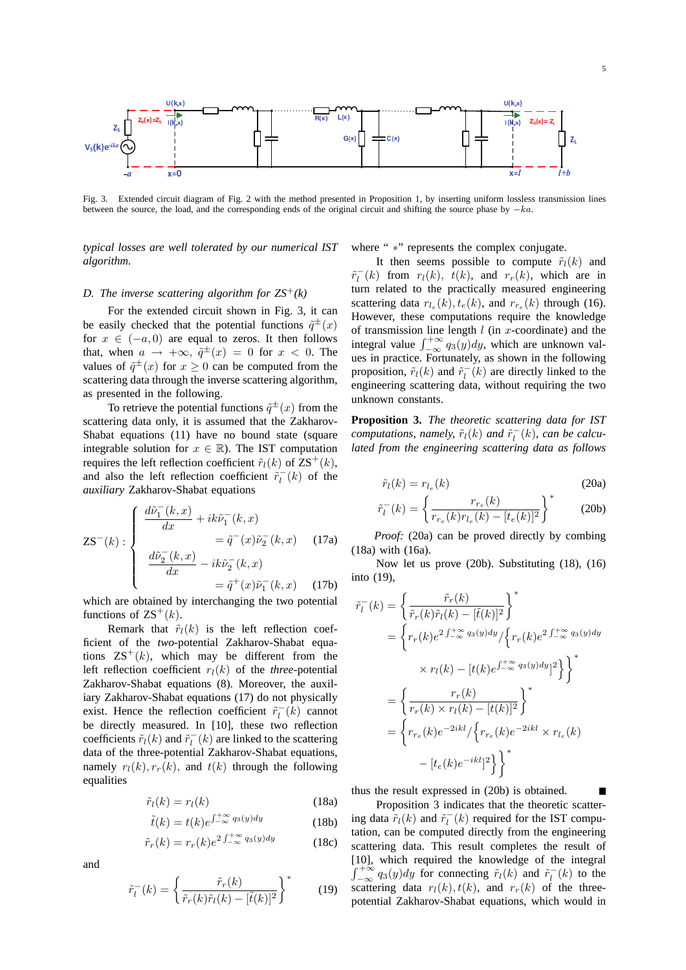

Fig. 3. Extended circuit diagram of Fig. 2 with the method presented in Proposition 1, by inserting uniform lossless transmission lines between the source, the load, and the corresponding ends of the original circuit and shifting the source phase by −ka.

*typical losses are well tolerated by our numerical IST algorithm.*

## *D. The inverse scattering algorithm for ZS*<sup>+</sup>*(k)*

For the extended circuit shown in Fig. 3, it can be easily checked that the potential functions  $\tilde{q}^{\pm}(x)$ for  $x \in (-a, 0)$  are equal to zeros. It then follows that, when  $a \rightarrow +\infty$ ,  $\tilde{q}^{\pm}(x) = 0$  for  $x < 0$ . The values of  $\tilde{q}^{\pm}(x)$  for  $x \ge 0$  can be computed from the scattering data through the inverse scattering algorithm, as presented in the following.

To retrieve the potential functions  $\tilde{q}^{\pm}(x)$  from the scattering data only, it is assumed that the Zakharov-Shabat equations (11) have no bound state (square integrable solution for  $x \in \mathbb{R}$ ). The IST computation requires the left reflection coefficient  $\tilde{r}_l(k)$  of  $\text{ZS}^+(k)$ , and also the left reflection coefficient  $\tilde{r}_l^-(k)$  of the *auxiliary* Zakharov-Shabat equations

$$
\mathbf{ZS}^{-}(k): \begin{cases} \frac{d\tilde{\nu}_{1}^{-}(k,x)}{dx} + ik\tilde{\nu}_{1}^{-}(k,x) \\ = \tilde{q}^{-}(x)\tilde{\nu}_{2}^{-}(k,x) \\ \frac{d\tilde{\nu}_{2}^{-}(k,x)}{dx} - ik\tilde{\nu}_{2}^{-}(k,x) \\ = \tilde{q}^{+}(x)\tilde{\nu}_{1}^{-}(k,x) \end{cases}
$$
(17a)  
(17b)

which are obtained by interchanging the two potential functions of  $\text{zs}^+(k)$ .

Remark that  $\tilde{r}_l(k)$  is the left reflection coefficient of the *two*-potential Zakharov-Shabat equations  $\mathbb{Z}S^{+}(k)$ , which may be different from the left reflection coefficient  $r_l(k)$  of the *three*-potential Zakharov-Shabat equations (8). Moreover, the auxiliary Zakharov-Shabat equations (17) do not physically exist. Hence the reflection coefficient  $\tilde{r}_l^-(k)$  cannot be directly measured. In [10], these two reflection coefficients  $\tilde{r}_l(k)$  and  $\tilde{r}_l^-(k)$  are linked to the scattering data of the three-potential Zakharov-Shabat equations, namely  $r_l(k)$ ,  $r_r(k)$ , and  $t(k)$  through the following equalities

$$
\tilde{r}_l(k) = r_l(k) \tag{18a}
$$

$$
\tilde{t}(k) = t(k)e^{\int_{-\infty}^{+\infty} q_3(y)dy}
$$
\n(18b)

$$
\tilde{r}_r(k) = r_r(k)e^{2\int_{-\infty}^{+\infty} q_3(y)dy} \tag{18c}
$$

and

$$
\tilde{r}_l^-(k) = \left\{ \frac{\tilde{r}_r(k)}{\tilde{r}_r(k)\tilde{r}_l(k) - [\tilde{t}(k)]^2} \right\}^*
$$
(19)

where " \*" represents the complex conjugate.

It then seems possible to compute  $\tilde{r}_l(k)$  and  $\tilde{r}_l^-(k)$  from  $r_l(k)$ ,  $t(k)$ , and  $r_r(k)$ , which are in turn related to the practically measured engineering scattering data  $r_{l_e}(k)$ ,  $t_e(k)$ , and  $r_{r_e}(k)$  through (16). However, these computations require the knowledge of transmission line length  $l$  (in  $x$ -coordinate) and the integral value  $\int_{-\infty}^{+\infty} q_3(y) dy$ , which are unknown values in practice. Fortunately, as shown in the following proposition,  $\tilde{r}_l(k)$  and  $\tilde{r}_l^-(k)$  are directly linked to the engineering scattering data, without requiring the two unknown constants.

**Proposition 3.** *The theoretic scattering data for IST computations, namely,*  $\tilde{r}_l(k)$  *and*  $\tilde{r}_l^-(k)$ *, can be calculated from the engineering scattering data as follows*

$$
\tilde{r}_l(k) = r_{l_e}(k) \tag{20a}
$$

$$
\tilde{r}_l^-(k) = \left\{ \frac{r_{r_e}(k)}{r_{r_e}(k)r_{l_e}(k) - [t_e(k)]^2} \right\}^*
$$
\n(20b)

*Proof:* (20a) can be proved directly by combing (18a) with (16a).

Now let us prove (20b). Substituting (18), (16) into (19),

$$
\tilde{r}_l^-(k) = \left\{ \frac{\tilde{r}_r(k)}{\tilde{r}_r(k)\tilde{r}_l(k) - [\tilde{t}(k)]^2} \right\}^*
$$
\n
$$
= \left\{ r_r(k)e^{2\int_{-\infty}^{+\infty} q_3(y)dy} / \left\{ r_r(k)e^{2\int_{-\infty}^{+\infty} q_3(y)dy} \right\} \right\}
$$
\n
$$
\times r_l(k) - [t(k)e^{\int_{-\infty}^{+\infty} q_3(y)dy}]^2 \right\}^*
$$
\n
$$
= \left\{ \frac{r_r(k)}{r_r(k)\times r_l(k) - [t(k)]^2} \right\}^*
$$
\n
$$
= \left\{ r_{r_e}(k)e^{-2ikl} / \left\{ r_{r_e}(k)e^{-2ikl} \times r_{l_e}(k) - [t(e) e^{-ikl}]^2 \right\} \right\}^*
$$

thus the result expressed in (20b) is obtained.

Proposition 3 indicates that the theoretic scattering data  $\tilde{r}_l(k)$  and  $\tilde{r}_l^-(k)$  required for the IST computation, can be computed directly from the engineering scattering data. This result completes the result of [10], which required the knowledge of the integral  $\int_{-\infty}^{+\infty} q_3(y) dy$  for connecting  $\tilde{r}_l(k)$  and  $\tilde{r}_l^-(k)$  to the scattering data  $r_l(k)$ ,  $t(k)$ , and  $r_r(k)$  of the threepotential Zakharov-Shabat equations, which would in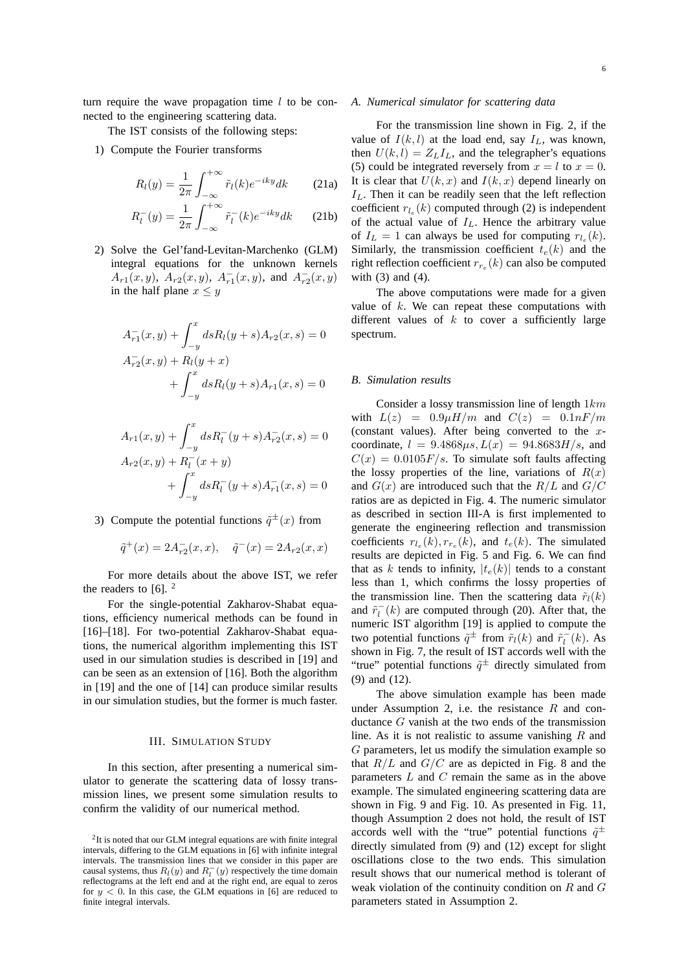The IST consists of the following steps:

1) Compute the Fourier transforms

$$
R_l(y) = \frac{1}{2\pi} \int_{-\infty}^{+\infty} \tilde{r}_l(k) e^{-iky} dk \qquad (21a)
$$
  

$$
R_l(y) = \frac{1}{2\pi} \int_{-\infty}^{+\infty} z^{-1} (k) e^{-iky} dk \qquad (21b)
$$

$$
R_l^-(y) = \frac{1}{2\pi} \int_{-\infty}^{+\infty} \tilde{r}_l^-(k) e^{-iky} dk \qquad (21b)
$$

2) Solve the Gel'fand-Levitan-Marchenko (GLM) integral equations for the unknown kernels  $A_{r1}(x, y)$ ,  $A_{r2}(x, y)$ ,  $A_{r1}^-(x, y)$ , and  $A_{r2}^-(x, y)$ in the half plane  $x \leq y$ 

$$
A_{r1}^-(x,y) + \int_{-y}^x ds R_l(y+s) A_{r2}(x,s) = 0
$$
  

$$
A_{r2}^-(x,y) + R_l(y+x)
$$
  

$$
+ \int_{-y}^x ds R_l(y+s) A_{r1}(x,s) = 0
$$

$$
A_{r1}(x, y) + \int_{-y}^{x} ds R_l^-(y + s) A_{r2}^-(x, s) = 0
$$
  

$$
A_{r2}(x, y) + R_l^-(x + y)
$$
  

$$
+ \int_{-y}^{x} ds R_l^-(y + s) A_{r1}^-(x, s) = 0
$$

3) Compute the potential functions  $\tilde{q}^{\pm}(x)$  from

$$
\tilde{q}^+(x) = 2A_{r2}^-(x,x), \quad \tilde{q}^-(x) = 2A_{r2}(x,x)
$$

For more details about the above IST, we refer the readers to  $[6]$ . <sup>2</sup>

For the single-potential Zakharov-Shabat equations, efficiency numerical methods can be found in [16]–[18]. For two-potential Zakharov-Shabat equations, the numerical algorithm implementing this IST used in our simulation studies is described in [19] and can be seen as an extension of [16]. Both the algorithm in [19] and the one of [14] can produce similar results in our simulation studies, but the former is much faster.

## III. SIMULATION STUDY

In this section, after presenting a numerical simulator to generate the scattering data of lossy transmission lines, we present some simulation results to confirm the validity of our numerical method.

#### *A. Numerical simulator for scattering data*

For the transmission line shown in Fig. 2, if the value of  $I(k, l)$  at the load end, say  $I<sub>L</sub>$ , was known, then  $U(k, l) = Z_L I_L$ , and the telegrapher's equations (5) could be integrated reversely from  $x = l$  to  $x = 0$ . It is clear that  $U(k, x)$  and  $I(k, x)$  depend linearly on  $I_L$ . Then it can be readily seen that the left reflection coefficient  $r_{l_e}(k)$  computed through (2) is independent of the actual value of  $I_L$ . Hence the arbitrary value of  $I_L = 1$  can always be used for computing  $r_{l_e}(k)$ . Similarly, the transmission coefficient  $t_e(k)$  and the right reflection coefficient  $r_{r_e}(k)$  can also be computed with (3) and (4).

The above computations were made for a given value of  $k$ . We can repeat these computations with different values of  $k$  to cover a sufficiently large spectrum.

#### *B. Simulation results*

Consider a lossy transmission line of length  $1km$ with  $L(z) = 0.9\mu H/m$  and  $C(z) = 0.1nF/m$ (constant values). After being converted to the  $x$ coordinate,  $l = 9.4868 \mu s$ ,  $L(x) = 94.8683 H/s$ , and  $C(x) = 0.0105F/s$ . To simulate soft faults affecting the lossy properties of the line, variations of  $R(x)$ and  $G(x)$  are introduced such that the  $R/L$  and  $G/C$ ratios are as depicted in Fig. 4. The numeric simulator as described in section III-A is first implemented to generate the engineering reflection and transmission coefficients  $r_{l_e}(k)$ ,  $r_{r_e}(k)$ , and  $t_e(k)$ . The simulated results are depicted in Fig. 5 and Fig. 6. We can find that as k tends to infinity,  $|t_e(k)|$  tends to a constant less than 1, which confirms the lossy properties of the transmission line. Then the scattering data  $\tilde{r}_l(k)$ and  $\tilde{r}_l^-(k)$  are computed through (20). After that, the numeric IST algorithm [19] is applied to compute the two potential functions  $\tilde{q}^{\pm}$  from  $\tilde{r}_l(k)$  and  $\tilde{r}_l^-(k)$ . As shown in Fig. 7, the result of IST accords well with the "true" potential functions  $\tilde{q}^{\pm}$  directly simulated from (9) and (12).

The above simulation example has been made under Assumption 2, i.e. the resistance  $R$  and conductance G vanish at the two ends of the transmission line. As it is not realistic to assume vanishing  $R$  and G parameters, let us modify the simulation example so that  $R/L$  and  $G/C$  are as depicted in Fig. 8 and the parameters  $L$  and  $C$  remain the same as in the above example. The simulated engineering scattering data are shown in Fig. 9 and Fig. 10. As presented in Fig. 11, though Assumption 2 does not hold, the result of IST accords well with the "true" potential functions  $\tilde{q}^{\pm}$ directly simulated from (9) and (12) except for slight oscillations close to the two ends. This simulation result shows that our numerical method is tolerant of weak violation of the continuity condition on  $R$  and  $G$ parameters stated in Assumption 2.

 $2$ It is noted that our GLM integral equations are with finite integral intervals, differing to the GLM equations in [6] with infinite integral intervals. The transmission lines that we consider in this paper are causal systems, thus  $R_l(y)$  and  $R_l^-(y)$  respectively the time domain reflectograms at the left end and at the right end, are equal to zeros for  $y < 0$ . In this case, the GLM equations in [6] are reduced to finite integral intervals.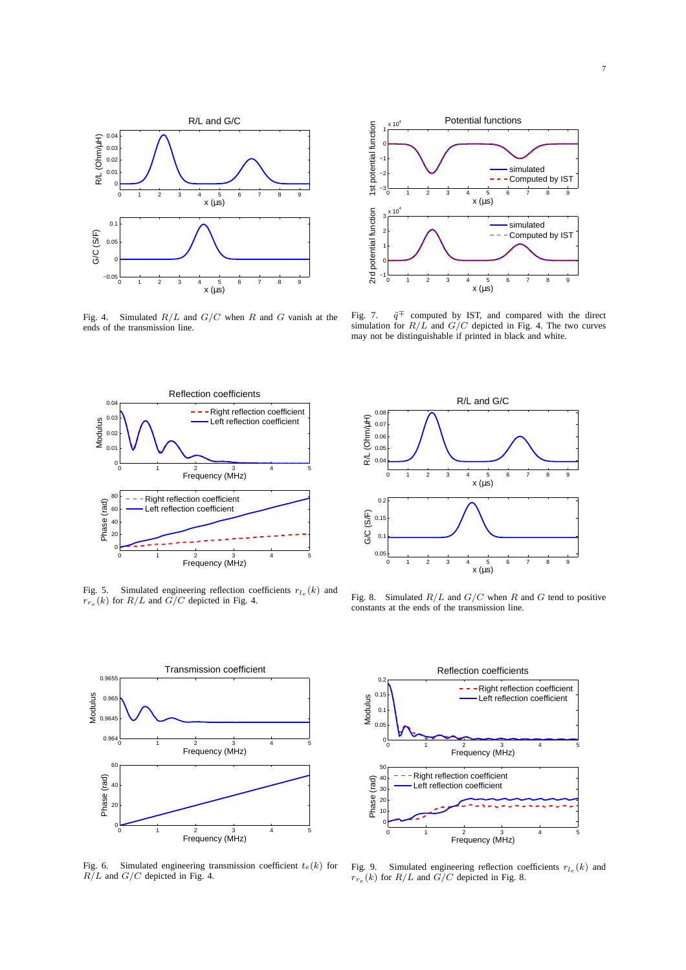

Fig. 4. Simulated  $R/L$  and  $G/C$  when R and G vanish at the ends of the transmission line.



Fig. 7.  $\tilde{q}$ <sup>∓</sup> computed by IST, and compared with the direct simulation for  $R/L$  and  $G/C$  depicted in Fig. 4. The two curves may not be distinguishable if printed in black and white.



Fig. 5. Simulated engineering reflection coefficients  $r_{l_e}(k)$  and  $r_{r_e}(k)$  for  $R/L$  and  $G/C$  depicted in Fig. 4.



Fig. 6. Simulated engineering transmission coefficient  $t_e(k)$  for  $R/L$  and  $G/C$  depicted in Fig. 4.



Fig. 8. Simulated  $R/L$  and  $G/C$  when R and G tend to positive constants at the ends of the transmission line.



Fig. 9. Simulated engineering reflection coefficients  $r_{l_e}(k)$  and  $r_{r_e}(k)$  for  $R/L$  and  $G/C$  depicted in Fig. 8.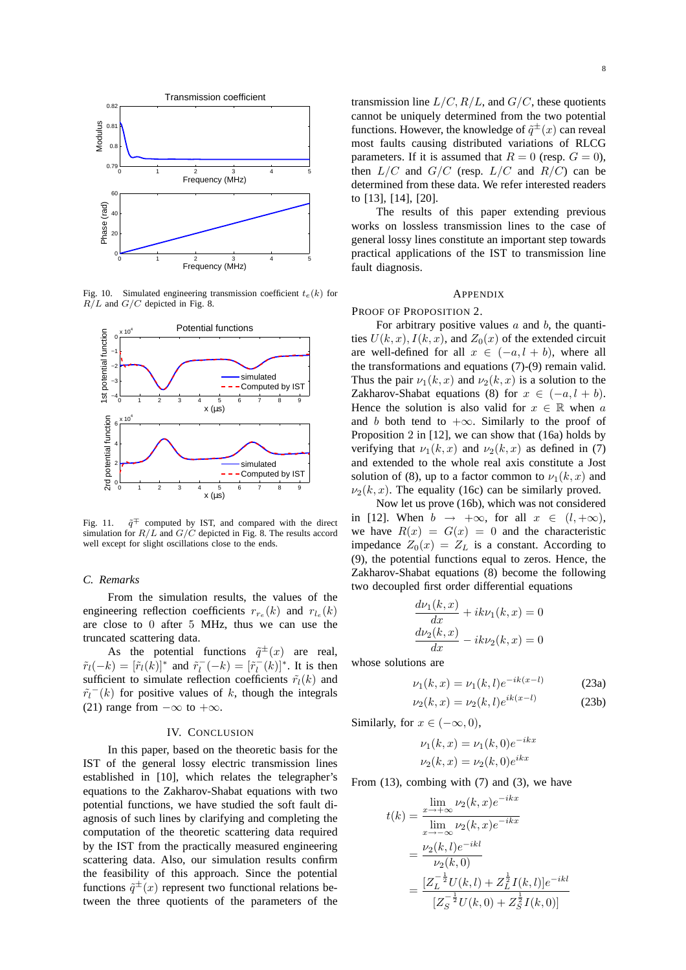

Fig. 10. Simulated engineering transmission coefficient  $t_e(k)$  for  $R/L$  and  $G/C$  depicted in Fig. 8.



Fig. 11.  $\tilde{q}$ <sup>∓</sup> computed by IST, and compared with the direct simulation for  $R/L$  and  $G/\dot{C}$  depicted in Fig. 8. The results accord well except for slight oscillations close to the ends.

## *C. Remarks*

From the simulation results, the values of the engineering reflection coefficients  $r_{r_e}(k)$  and  $r_{l_e}(k)$ are close to 0 after 5 MHz, thus we can use the truncated scattering data.

As the potential functions  $\tilde{q}^{\pm}(x)$  are real,  $\tilde{r}_l(-k) = [\tilde{r}_l(k)]^*$  and  $\tilde{r}_l^-(-k) = [\tilde{r}_l^-(k)]^*$ . It is then sufficient to simulate reflection coefficients  $\tilde{r}_l(k)$  and  $\tilde{r}_l^-(k)$  for positive values of k, though the integrals (21) range from  $-\infty$  to  $+\infty$ .

## IV. CONCLUSION

In this paper, based on the theoretic basis for the IST of the general lossy electric transmission lines established in [10], which relates the telegrapher's equations to the Zakharov-Shabat equations with two potential functions, we have studied the soft fault diagnosis of such lines by clarifying and completing the computation of the theoretic scattering data required by the IST from the practically measured engineering scattering data. Also, our simulation results confirm the feasibility of this approach. Since the potential functions  $\tilde{q}^{\pm}(x)$  represent two functional relations between the three quotients of the parameters of the

transmission line  $L/C$ ,  $R/L$ , and  $G/C$ , these quotients cannot be uniquely determined from the two potential functions. However, the knowledge of  $\tilde{q}^{\pm}(x)$  can reveal most faults causing distributed variations of RLCG parameters. If it is assumed that  $R = 0$  (resp.  $G = 0$ ), then  $L/C$  and  $G/C$  (resp.  $L/C$  and  $R/C$ ) can be determined from these data. We refer interested readers to [13], [14], [20].

The results of this paper extending previous works on lossless transmission lines to the case of general lossy lines constitute an important step towards practical applications of the IST to transmission line fault diagnosis.

### **APPENDIX**

PROOF OF PROPOSITION 2.

For arbitrary positive values  $a$  and  $b$ , the quantities  $U(k, x)$ ,  $I(k, x)$ , and  $Z_0(x)$  of the extended circuit are well-defined for all  $x \in (-a, l + b)$ , where all the transformations and equations (7)-(9) remain valid. Thus the pair  $\nu_1(k, x)$  and  $\nu_2(k, x)$  is a solution to the Zakharov-Shabat equations (8) for  $x \in (-a, l + b)$ . Hence the solution is also valid for  $x \in \mathbb{R}$  when a and b both tend to  $+\infty$ . Similarly to the proof of Proposition 2 in [12], we can show that (16a) holds by verifying that  $\nu_1(k, x)$  and  $\nu_2(k, x)$  as defined in (7) and extended to the whole real axis constitute a Jost solution of (8), up to a factor common to  $\nu_1(k, x)$  and  $\nu_2(k, x)$ . The equality (16c) can be similarly proved.

Now let us prove (16b), which was not considered in [12]. When  $b \rightarrow +\infty$ , for all  $x \in (l, +\infty)$ , we have  $R(x) = G(x) = 0$  and the characteristic impedance  $Z_0(x) = Z_L$  is a constant. According to (9), the potential functions equal to zeros. Hence, the Zakharov-Shabat equations (8) become the following two decoupled first order differential equations

$$
\frac{d\nu_1(k,x)}{dx} + ik\nu_1(k,x) = 0
$$

$$
\frac{d\nu_2(k,x)}{dx} - ik\nu_2(k,x) = 0
$$

whose solutions are

$$
\nu_1(k, x) = \nu_1(k, l)e^{-ik(x-l)} \tag{23a}
$$

$$
\nu_2(k, x) = \nu_2(k, l)e^{ik(x - l)} \tag{23b}
$$

Similarly, for  $x \in (-\infty, 0)$ ,

$$
\nu_1(k, x) = \nu_1(k, 0)e^{-ikx}
$$
  

$$
\nu_2(k, x) = \nu_2(k, 0)e^{ikx}
$$

From (13), combing with (7) and (3), we have

$$
t(k) = \frac{\lim_{x \to +\infty} \nu_2(k, x)e^{-ikx}}{\lim_{x \to -\infty} \nu_2(k, x)e^{-ikx}}
$$
  
= 
$$
\frac{\nu_2(k, l)e^{-ikl}}{\nu_2(k, 0)}
$$
  
= 
$$
\frac{[Z_L^{-\frac{1}{2}}U(k, l) + Z_L^{\frac{1}{2}}I(k, l)]e^{-ikl}}{[Z_S^{-\frac{1}{2}}U(k, 0) + Z_S^{\frac{1}{2}}I(k, 0)]}
$$